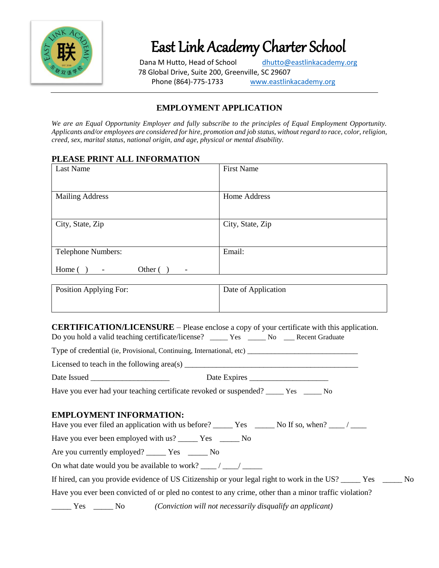

East Link Academy Charter School

Dana M Hutto, Head of School [dhutto@eastlinkacademy.org](mailto:dhutto@eastlinkacademy.org) 78 Global Drive, Suite 200, Greenville, SC 29607 Phone (864)-775-1733 [www.eastlinkacademy.org](http://www.eastlinkacademy.org/)

# **EMPLOYMENT APPLICATION**

*We are an Equal Opportunity Employer and fully subscribe to the principles of Equal Employment Opportunity. Applicants and/or employees are considered for hire, promotion and job status, without regard to race, color, religion, creed, sex, marital status, national origin, and age, physical or mental disability.*

#### **PLEASE PRINT ALL INFORMATION**

| Last Name                                                                 | <b>First Name</b> |
|---------------------------------------------------------------------------|-------------------|
|                                                                           |                   |
| <b>Mailing Address</b>                                                    | Home Address      |
|                                                                           |                   |
| City, State, Zip                                                          | City, State, Zip  |
|                                                                           |                   |
| Telephone Numbers:                                                        | Email:            |
| Home (<br>Other (<br>$\overline{\phantom{a}}$<br>$\overline{\phantom{0}}$ |                   |

| Position Applying For: | Date of Application |
|------------------------|---------------------|
|                        |                     |

**CERTIFICATION/LICENSURE** – Please enclose a copy of your certificate with this application. Do you hold a valid teaching certificate/license? \_\_\_\_\_ Yes \_\_\_\_\_ No \_\_\_\_ Recent Graduate

Type of credential (ie, Provisional, Continuing, International, etc) \_\_\_\_\_\_\_\_\_\_\_\_\_\_\_\_\_\_\_\_\_\_\_\_\_\_\_\_

Licensed to teach in the following area(s) \_\_\_\_\_\_\_\_\_\_\_\_\_\_\_\_\_\_\_\_\_\_\_\_\_\_\_\_\_\_\_\_\_\_\_\_\_\_\_\_\_\_\_\_

Date Issued \_\_\_\_\_\_\_\_\_\_\_\_\_\_\_\_\_\_\_\_ Date Expires \_\_\_\_\_\_\_\_\_\_\_\_\_\_\_\_\_\_\_\_

Have you ever had your teaching certificate revoked or suspended? \_\_\_\_\_ Yes \_\_\_\_\_ No

#### **EMPLOYMENT INFORMATION:**

Have you ever filed an application with us before? \_\_\_\_\_\_ Yes \_\_\_\_\_\_ No If so, when? \_\_\_\_ / \_\_\_\_

Have you ever been employed with us? \_\_\_\_\_\_ Yes \_\_\_\_\_\_ No

Are you currently employed? \_\_\_\_\_\_ Yes \_\_\_\_\_\_ No

On what date would you be available to work?  $\frac{1}{\sqrt{2\pi}}$ 

| If hired, can you provide evidence of US Citizenship or your legal right to work in the US? _____ Yes _____ No |  |
|----------------------------------------------------------------------------------------------------------------|--|
|                                                                                                                |  |

Have you ever been convicted of or pled no contest to any crime, other than a minor traffic violation?

\_\_\_\_\_ Yes \_\_\_\_\_ No *(Conviction will not necessarily disqualify an applicant)*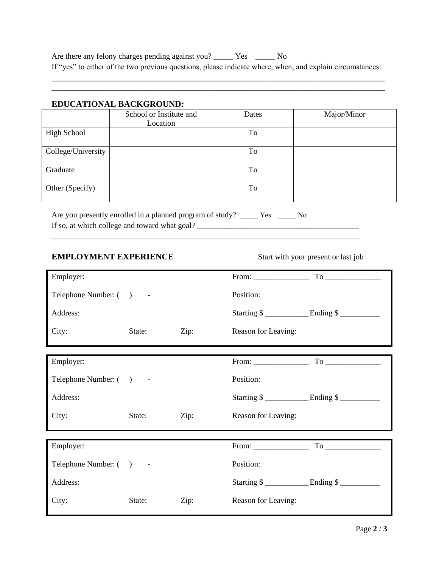Are there any felony charges pending against you? \_\_\_\_\_\_ Yes \_\_\_\_\_\_ No If "yes" to either of the two previous questions, please indicate where, when, and explain circumstances:

\_\_\_\_\_\_\_\_\_\_\_\_\_\_\_\_\_\_\_\_\_\_\_\_\_\_\_\_\_\_\_\_\_\_\_\_\_\_\_\_\_\_\_\_\_\_\_\_\_\_\_\_\_\_\_\_\_\_\_\_\_\_\_\_\_\_\_\_\_\_\_\_\_\_\_\_\_\_\_\_\_\_\_\_\_ \_\_\_\_\_\_\_\_\_\_\_\_\_\_\_\_\_\_\_\_\_\_\_\_\_\_\_\_\_\_\_\_\_\_\_\_\_\_\_\_\_\_\_\_\_\_\_\_\_\_\_\_\_\_\_\_\_\_\_\_\_\_\_\_\_\_\_\_\_\_\_\_\_\_\_\_\_\_\_\_\_\_\_\_\_

#### **EDUCATIONAL BACKGROUND:**

|                    | School or Institute and | Dates | Major/Minor |
|--------------------|-------------------------|-------|-------------|
|                    | Location                |       |             |
| <b>High School</b> |                         | To    |             |
| College/University |                         | To    |             |
| Graduate           |                         | To    |             |
| Other (Specify)    |                         | To    |             |

Are you presently enrolled in a planned program of study? \_\_\_\_\_ Yes \_\_\_\_\_ No If so, at which college and toward what goal? \_\_\_\_\_\_\_\_\_\_\_\_\_\_\_\_\_\_\_\_\_\_\_\_\_\_\_\_\_\_\_\_\_\_\_\_\_\_\_\_\_

\_\_\_\_\_\_\_\_\_\_\_\_\_\_\_\_\_\_\_\_\_\_\_\_\_\_\_\_\_\_\_\_\_\_\_\_\_\_\_\_\_\_\_\_\_\_\_\_\_\_\_\_\_\_\_\_\_\_\_\_\_\_\_\_\_\_\_\_\_\_\_\_\_\_\_\_\_\_

## **EMPLOYMENT EXPERIENCE** Start with your present or last job

| Employer:              |        |      |                                                                                                                                                                                                                                                                                                                                                                                                               | From: $\qquad \qquad$ To $\qquad \qquad$ |
|------------------------|--------|------|---------------------------------------------------------------------------------------------------------------------------------------------------------------------------------------------------------------------------------------------------------------------------------------------------------------------------------------------------------------------------------------------------------------|------------------------------------------|
| Telephone Number: () - |        |      | Position:                                                                                                                                                                                                                                                                                                                                                                                                     |                                          |
| Address:               |        |      |                                                                                                                                                                                                                                                                                                                                                                                                               |                                          |
| City:                  | State: | Zip: | Reason for Leaving:                                                                                                                                                                                                                                                                                                                                                                                           |                                          |
|                        |        |      |                                                                                                                                                                                                                                                                                                                                                                                                               |                                          |
| Employer:              |        |      | From: $\frac{1}{\sqrt{1-\frac{1}{2}}\sqrt{1-\frac{1}{2}}\sqrt{1-\frac{1}{2}}\sqrt{1-\frac{1}{2}}\sqrt{1-\frac{1}{2}}\sqrt{1-\frac{1}{2}}\sqrt{1-\frac{1}{2}}\sqrt{1-\frac{1}{2}}\sqrt{1-\frac{1}{2}}\sqrt{1-\frac{1}{2}}\sqrt{1-\frac{1}{2}}\sqrt{1-\frac{1}{2}}\sqrt{1-\frac{1}{2}}\sqrt{1-\frac{1}{2}}\sqrt{1-\frac{1}{2}}\sqrt{1-\frac{1}{2}}\sqrt{1-\frac{1}{2}}\sqrt{1-\frac{1}{2}}\sqrt{1-\frac{1}{2}}$ |                                          |
| Telephone Number: () - |        |      | Position:                                                                                                                                                                                                                                                                                                                                                                                                     |                                          |
| Address:               |        |      | Starting \$                                                                                                                                                                                                                                                                                                                                                                                                   |                                          |
| City:                  | State: | Zip: | Reason for Leaving:                                                                                                                                                                                                                                                                                                                                                                                           |                                          |
|                        |        |      |                                                                                                                                                                                                                                                                                                                                                                                                               |                                          |
| Employer:              |        |      | From: $\qquad \qquad$                                                                                                                                                                                                                                                                                                                                                                                         |                                          |
| Telephone Number: () - |        |      | Position:                                                                                                                                                                                                                                                                                                                                                                                                     |                                          |
| Address:               |        |      | Starting $\frac{\gamma}{2}$ Ending $\frac{\gamma}{2}$                                                                                                                                                                                                                                                                                                                                                         |                                          |
| City:                  | State: | Zip: | Reason for Leaving:                                                                                                                                                                                                                                                                                                                                                                                           |                                          |